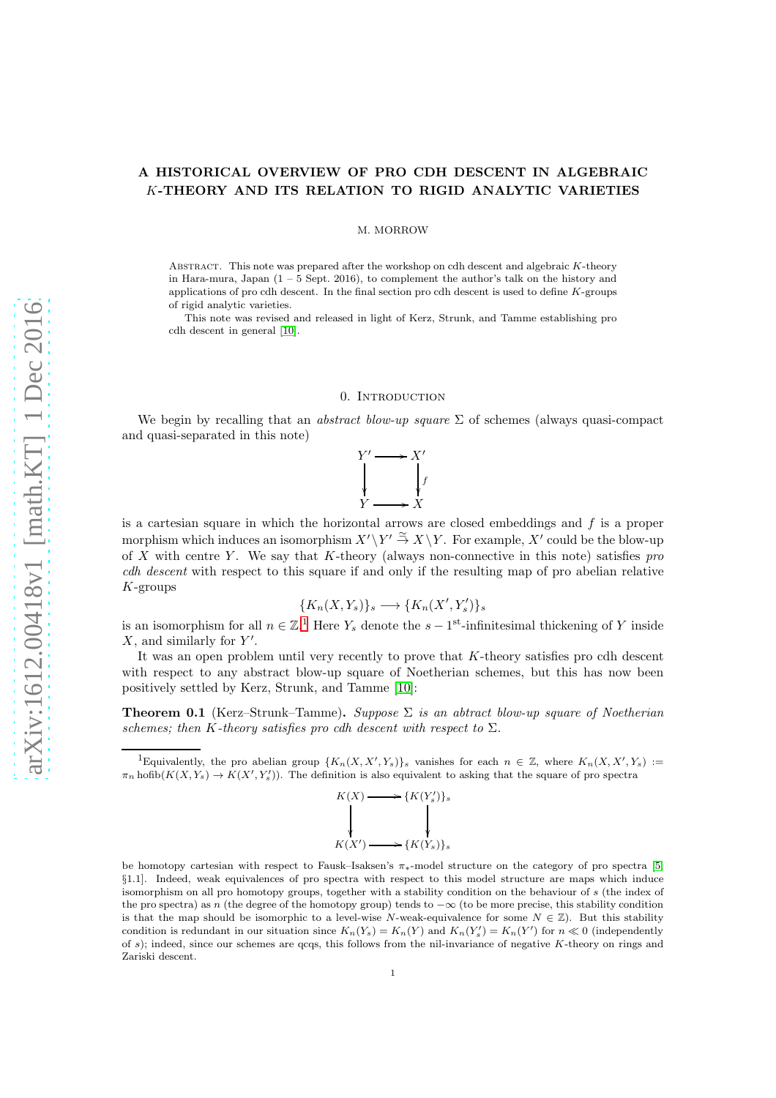# A HISTORICAL OVERVIEW OF PRO CDH DESCENT IN ALGEBRAIC K-THEORY AND ITS RELATION TO RIGID ANALYTIC VARIETIES

### M. MORROW

ABSTRACT. This note was prepared after the workshop on cdh descent and algebraic  $K$ -theory in Hara-mura, Japan  $(1 - 5$  Sept. 2016), to complement the author's talk on the history and applications of pro cdh descent. In the final section pro cdh descent is used to define  $K$ -groups of rigid analytic varieties.

This note was revised and released in light of Kerz, Strunk, and Tamme establishing pro cdh descent in general [\[10\]](#page-9-0).

# 0. Introduction

We begin by recalling that an *abstract blow-up square*  $\Sigma$  of schemes (always quasi-compact and quasi-separated in this note)



is a cartesian square in which the horizontal arrows are closed embeddings and  $f$  is a proper morphism which induces an isomorphism  $X'\ Y' \stackrel{\simeq}{\to} X\ Y$ . For example, X' could be the blow-up of X with centre Y. We say that K-theory (always non-connective in this note) satisfies pro cdh descent with respect to this square if and only if the resulting map of pro abelian relative K-groups

$$
\{K_n(X,Y_s)\}_s \longrightarrow \{K_n(X',Y'_s)\}_s
$$

is an isomorphism for all  $n \in \mathbb{Z}^1$  $n \in \mathbb{Z}^1$ . Here  $Y_s$  denote the  $s - 1^{st}$ -infinitesimal thickening of Y inside  $X$ , and similarly for  $Y'$ .

It was an open problem until very recently to prove that K-theory satisfies pro cdh descent with respect to any abstract blow-up square of Noetherian schemes, but this has now been positively settled by Kerz, Strunk, and Tamme [\[10\]](#page-9-0):

**Theorem 0.1** (Kerz–Strunk–Tamme). Suppose  $\Sigma$  is an abtract blow-up square of Noetherian schemes; then K-theory satisfies pro cdh descent with respect to  $\Sigma$ .

<span id="page-0-0"></span><sup>&</sup>lt;sup>1</sup>Equivalently, the pro abelian group  $\{K_n(X, X', Y_s)\}_s$  vanishes for each  $n \in \mathbb{Z}$ , where  $K_n(X, X', Y_s) :=$  $\pi_n$  hofib $(K(X,Y_s) \to K(X',Y'_s))$ . The definition is also equivalent to asking that the square of pro spectra



be homotopy cartesian with respect to Fausk–Isaksen's π∗-model structure on the category of pro spectra [\[5,](#page-9-1) §1.1]. Indeed, weak equivalences of pro spectra with respect to this model structure are maps which induce isomorphism on all pro homotopy groups, together with a stability condition on the behaviour of s (the index of the pro spectra) as n (the degree of the homotopy group) tends to  $-\infty$  (to be more precise, this stability condition is that the map should be isomorphic to a level-wise N-weak-equivalence for some  $N \in \mathbb{Z}$ ). But this stability condition is redundant in our situation since  $K_n(Y_s) = K_n(Y)$  and  $K_n(Y'_s) = K_n(Y')$  for  $n \ll 0$  (independently of s); indeed, since our schemes are qcqs, this follows from the nil-invariance of negative  $K$ -theory on rings and Zariski descent.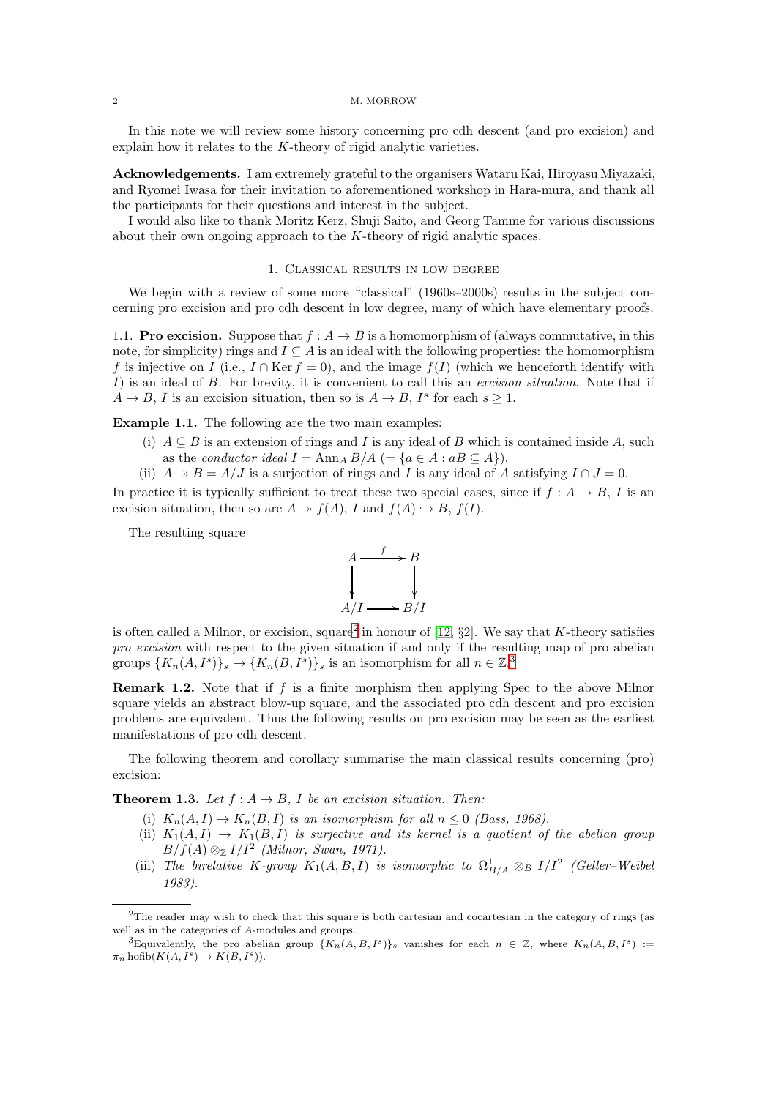In this note we will review some history concerning pro cdh descent (and pro excision) and explain how it relates to the K-theory of rigid analytic varieties.

Acknowledgements. I am extremely grateful to the organisers Wataru Kai, Hiroyasu Miyazaki, and Ryomei Iwasa for their invitation to aforementioned workshop in Hara-mura, and thank all the participants for their questions and interest in the subject.

I would also like to thank Moritz Kerz, Shuji Saito, and Georg Tamme for various discussions about their own ongoing approach to the K-theory of rigid analytic spaces.

### 1. Classical results in low degree

We begin with a review of some more "classical" (1960s–2000s) results in the subject concerning pro excision and pro cdh descent in low degree, many of which have elementary proofs.

1.1. **Pro excision.** Suppose that  $f : A \to B$  is a homomorphism of (always commutative, in this note, for simplicity) rings and  $I \subseteq A$  is an ideal with the following properties: the homomorphism f is injective on I (i.e.,  $I \cap \text{Ker } f = 0$ ), and the image  $f(I)$  (which we henceforth identify with I) is an ideal of B. For brevity, it is convenient to call this an *excision situation*. Note that if  $A \to B$ , I is an excision situation, then so is  $A \to B$ , I<sup>s</sup> for each  $s \geq 1$ .

Example 1.1. The following are the two main examples:

- (i)  $A \subseteq B$  is an extension of rings and I is any ideal of B which is contained inside A, such as the *conductor ideal*  $I = \text{Ann}_A B/A (= \{a \in A : aB \subseteq A\}).$
- (ii)  $A \rightarrow B = A/J$  is a surjection of rings and I is any ideal of A satisfying  $I \cap J = 0$ .

In practice it is typically sufficient to treat these two special cases, since if  $f : A \rightarrow B$ , I is an excision situation, then so are  $A \rightarrow f(A)$ , I and  $f(A) \rightarrow B$ ,  $f(I)$ .

The resulting square



is often called a Milnor, or excision, square<sup>[2](#page-1-0)</sup> in honour of [\[12,](#page-9-2)  $\S2$ ]. We say that K-theory satisfies pro excision with respect to the given situation if and only if the resulting map of pro abelian groups  $\{K_n(A, I^s)\}_s \to \{K_n(B, I^s)\}_s$  is an isomorphism for all  $n \in \mathbb{Z}^3$  $n \in \mathbb{Z}^3$ 

**Remark 1.2.** Note that if  $f$  is a finite morphism then applying Spec to the above Milnor square yields an abstract blow-up square, and the associated pro cdh descent and pro excision problems are equivalent. Thus the following results on pro excision may be seen as the earliest manifestations of pro cdh descent.

The following theorem and corollary summarise the main classical results concerning (pro) excision:

<span id="page-1-2"></span>**Theorem 1.3.** Let  $f : A \rightarrow B$ , I be an excision situation. Then:

- (i)  $K_n(A, I) \to K_n(B, I)$  is an isomorphism for all  $n \leq 0$  (Bass, 1968).
- (ii)  $K_1(A,I) \rightarrow K_1(B,I)$  is surjective and its kernel is a quotient of the abelian group  $B/f(A) \otimes_{\mathbb{Z}} I/I^2$  (Milnor, Swan, 1971).
- (iii) The birelative K-group  $K_1(A, B, I)$  is isomorphic to  $\Omega^1_{B/A} \otimes_B I/I^2$  (Geller–Weibel 1983).

<span id="page-1-0"></span><sup>2</sup>The reader may wish to check that this square is both cartesian and cocartesian in the category of rings (as well as in the categories of A-modules and groups.

<span id="page-1-1"></span><sup>&</sup>lt;sup>3</sup>Equivalently, the pro abelian group  $\{K_n(A, B, I^s)\}\$ s vanishes for each  $n \in \mathbb{Z}$ , where  $K_n(A, B, I^s) :=$  $\pi_n \operatorname{hofib}(K(A, I^s) \to K(B, I^s)).$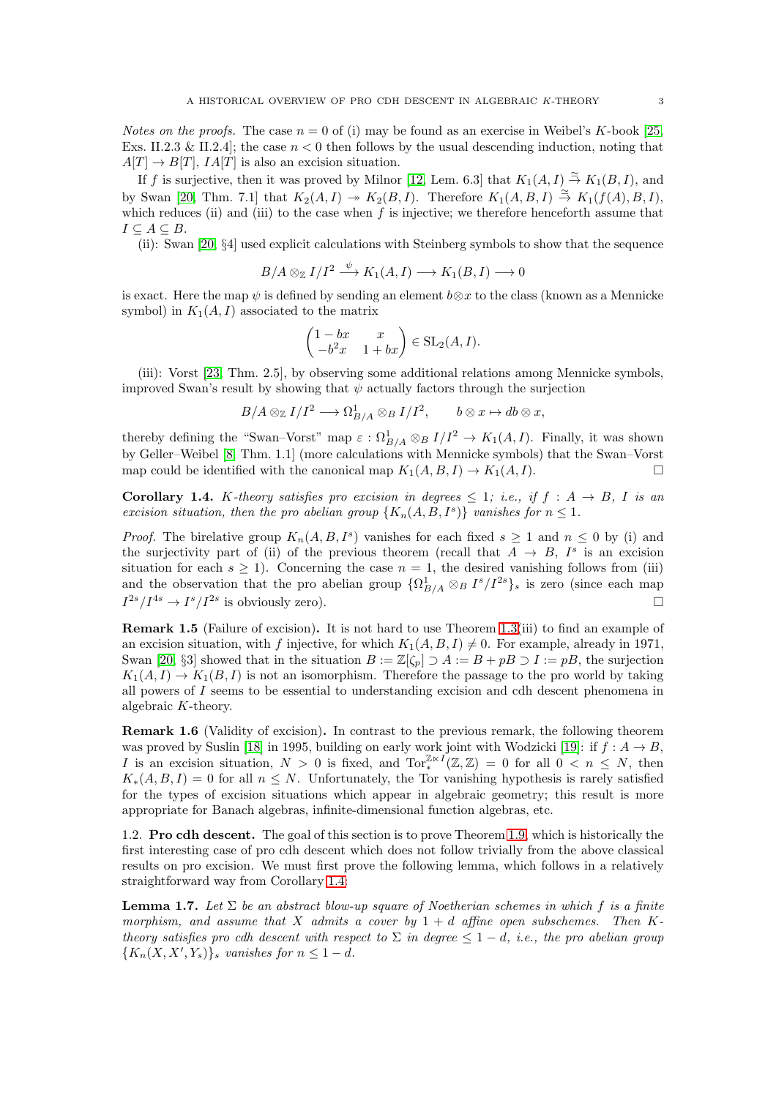*Notes on the proofs.* The case  $n = 0$  of (i) may be found as an exercise in Weibel's K-book [\[25,](#page-10-0) Exs. II.2.3 & II.2.4; the case  $n < 0$  then follows by the usual descending induction, noting that  $A[T] \rightarrow B[T]$ ,  $IA[T]$  is also an excision situation.

If f is surjective, then it was proved by Milnor [\[12,](#page-9-2) Lem. 6.3] that  $K_1(A, I) \stackrel{\simeq}{\to} K_1(B, I)$ , and by Swan [\[20,](#page-10-1) Thm. 7.1] that  $K_2(A,I) \twoheadrightarrow K_2(B,I)$ . Therefore  $K_1(A, B, I) \stackrel{\simeq}{\to} K_1(f(A), B, I)$ , which reduces (ii) and (iii) to the case when f is injective; we therefore henceforth assume that  $I \subseteq A \subseteq B$ .

(ii): Swan [\[20,](#page-10-1) §4] used explicit calculations with Steinberg symbols to show that the sequence

$$
B/A \otimes_{\mathbb{Z}} I/I^2 \xrightarrow{\psi} K_1(A,I) \longrightarrow K_1(B,I) \longrightarrow 0
$$

is exact. Here the map  $\psi$  is defined by sending an element  $b \otimes x$  to the class (known as a Mennicke symbol) in  $K_1(A, I)$  associated to the matrix

$$
\begin{pmatrix} 1-bx & x \\ -b^2x & 1+bx \end{pmatrix} \in \text{SL}_2(A,I).
$$

(iii): Vorst [\[23,](#page-10-2) Thm. 2.5], by observing some additional relations among Mennicke symbols, improved Swan's result by showing that  $\psi$  actually factors through the surjection

$$
B/A \otimes_{\mathbb{Z}} I/I^2 \longrightarrow \Omega^1_{B/A} \otimes_B I/I^2, \qquad b \otimes x \mapsto db \otimes x,
$$

thereby defining the "Swan–Vorst" map  $\varepsilon : \Omega^1_{B/A} \otimes_B I/I^2 \to K_1(A,I)$ . Finally, it was shown by Geller–Weibel [\[8,](#page-9-3) Thm. 1.1] (more calculations with Mennicke symbols) that the Swan–Vorst map could be identified with the canonical map  $K_1(A, B, I) \to K_1(A, I)$ .

<span id="page-2-0"></span>Corollary 1.4. K-theory satisfies pro excision in degrees  $\leq 1$ ; i.e., if  $f : A \rightarrow B$ , I is an excision situation, then the pro abelian group  $\{K_n(A, B, I^s)\}\$  vanishes for  $n \leq 1$ .

*Proof.* The birelative group  $K_n(A, B, I^s)$  vanishes for each fixed  $s \geq 1$  and  $n \leq 0$  by (i) and the surjectivity part of (ii) of the previous theorem (recall that  $A \to B$ ,  $I^s$  is an excision situation for each  $s \geq 1$ ). Concerning the case  $n = 1$ , the desired vanishing follows from (iii) and the observation that the pro abelian group  $\{\Omega^1_{B/A} \otimes_B I^s/I^{2s}\}_s$  is zero (since each map  $I^{2s}/I^{4s} \to I^{s}/I^{2s}$  is obviously zero).

Remark 1.5 (Failure of excision). It is not hard to use Theorem [1.3\(](#page-1-2)iii) to find an example of an excision situation, with f injective, for which  $K_1(A, B, I) \neq 0$ . For example, already in 1971, Swan [\[20,](#page-10-1) §3] showed that in the situation  $B := \mathbb{Z}[\zeta_p] \supset A := B + pB \supset I := pB$ , the surjection  $K_1(A, I) \to K_1(B, I)$  is not an isomorphism. Therefore the passage to the pro world by taking all powers of  $I$  seems to be essential to understanding excision and cdh descent phenomena in algebraic K-theory.

<span id="page-2-1"></span>Remark 1.6 (Validity of excision). In contrast to the previous remark, the following theorem was proved by Suslin [\[18\]](#page-9-4) in 1995, building on early work joint with Wodzicki [\[19\]](#page-9-5): if  $f : A \rightarrow B$ , *I* is an excision situation,  $N > 0$  is fixed, and  $Tor_*^{\mathbb{Z}\ltimes I}(\mathbb{Z}, \mathbb{Z}) = 0$  for all  $0 < n \leq N$ , then  $K_*(A, B, I) = 0$  for all  $n \leq N$ . Unfortunately, the Tor vanishing hypothesis is rarely satisfied for the types of excision situations which appear in algebraic geometry; this result is more appropriate for Banach algebras, infinite-dimensional function algebras, etc.

1.2. Pro cdh descent. The goal of this section is to prove Theorem [1.9,](#page-3-0) which is historically the first interesting case of pro cdh descent which does not follow trivially from the above classical results on pro excision. We must first prove the following lemma, which follows in a relatively straightforward way from Corollary [1.4:](#page-2-0)

<span id="page-2-2"></span>**Lemma 1.7.** Let  $\Sigma$  be an abstract blow-up square of Noetherian schemes in which f is a finite morphism, and assume that X admits a cover by  $1 + d$  affine open subschemes. Then Ktheory satisfies pro cdh descent with respect to  $\Sigma$  in degree  $\leq 1-d$ , i.e., the pro abelian group  ${K_n(X, X', Y_s)}_s$  vanishes for  $n \leq 1 - d$ .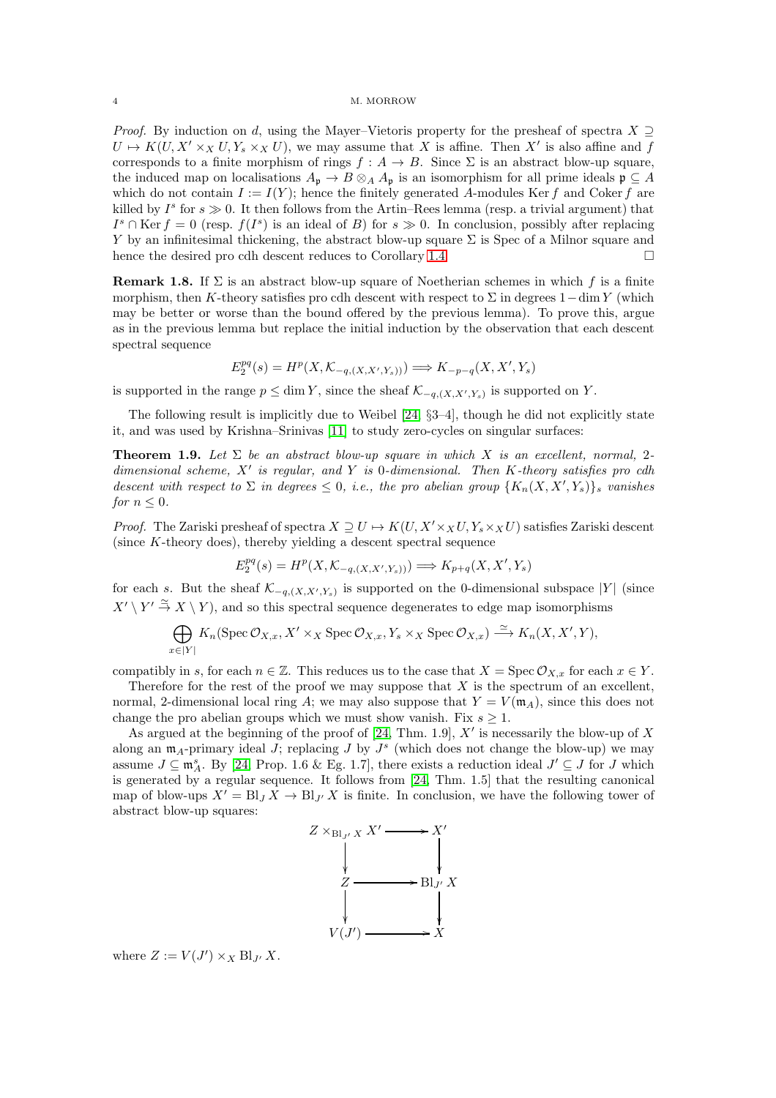*Proof.* By induction on d, using the Mayer–Vietoris property for the presheaf of spectra  $X \supset$  $U \mapsto K(U, X' \times_X U, Y_s \times_X U)$ , we may assume that X is affine. Then X' is also affine and f corresponds to a finite morphism of rings  $f : A \to B$ . Since  $\Sigma$  is an abstract blow-up square, the induced map on localisations  $A_{\mathfrak{p}} \to B \otimes_A A_{\mathfrak{p}}$  is an isomorphism for all prime ideals  $\mathfrak{p} \subseteq A$ which do not contain  $I := I(Y)$ ; hence the finitely generated A-modules Ker f and Coker f are killed by  $I^s$  for  $s \gg 0$ . It then follows from the Artin–Rees lemma (resp. a trivial argument) that  $I^s \cap \text{Ker } f = 0$  (resp.  $f(I^s)$  is an ideal of B) for  $s \gg 0$ . In conclusion, possibly after replacing Y by an infinitesimal thickening, the abstract blow-up square  $\Sigma$  is Spec of a Milnor square and hence the desired pro cdh descent reduces to Corollary [1.4.](#page-2-0)

**Remark 1.8.** If  $\Sigma$  is an abstract blow-up square of Noetherian schemes in which f is a finite morphism, then K-theory satisfies pro cdh descent with respect to  $\Sigma$  in degrees  $1-\dim Y$  (which may be better or worse than the bound offered by the previous lemma). To prove this, argue as in the previous lemma but replace the initial induction by the observation that each descent spectral sequence

$$
E_2^{pq}(s) = H^p(X, \mathcal{K}_{-q,(X,X',Y_s))}) \Longrightarrow K_{-p-q}(X, X', Y_s)
$$

is supported in the range  $p \leq \dim Y$ , since the sheaf  $\mathcal{K}_{-q,(X,X',Y_s)}$  is supported on Y.

The following result is implicitly due to Weibel [\[24,](#page-10-3) §3–4], though he did not explicitly state it, and was used by Krishna–Srinivas [\[11\]](#page-9-6) to study zero-cycles on singular surfaces:

<span id="page-3-0"></span>**Theorem 1.9.** Let  $\Sigma$  be an abstract blow-up square in which X is an excellent, normal, 2dimensional scheme,  $X'$  is regular, and Y is 0-dimensional. Then K-theory satisfies pro cdh descent with respect to  $\Sigma$  in degrees  $\leq 0$ , i.e., the pro abelian group  $\{K_n(X, X', Y_s)\}_s$  vanishes for  $n \leq 0$ .

*Proof.* The Zariski presheaf of spectra  $X \supseteq U \mapsto K(U, X' \times_X U, Y_s \times_X U)$  satisfies Zariski descent (since K-theory does), thereby yielding a descent spectral sequence

$$
E_2^{pq}(s) = H^p(X, \mathcal{K}_{-q,(X,X',Y_s))}) \Longrightarrow K_{p+q}(X,X',Y_s)
$$

for each s. But the sheaf  $\mathcal{K}_{-q,(X,X',Y_s)}$  is supported on the 0-dimensional subspace |Y| (since  $X' \setminus Y' \stackrel{\simeq}{\to} X \setminus Y$ , and so this spectral sequence degenerates to edge map isomorphisms

$$
\bigoplus_{x\in|Y|} K_n(\text{Spec}\,\mathcal{O}_{X,x}, X'\times_X \text{Spec}\,\mathcal{O}_{X,x}, Y_s\times_X \text{Spec}\,\mathcal{O}_{X,x}) \xrightarrow{\simeq} K_n(X,X',Y),
$$

compatibly in s, for each  $n \in \mathbb{Z}$ . This reduces us to the case that  $X = \text{Spec } \mathcal{O}_{X,x}$  for each  $x \in Y$ .

Therefore for the rest of the proof we may suppose that  $X$  is the spectrum of an excellent, normal, 2-dimensional local ring A; we may also suppose that  $Y = V(\mathfrak{m}_A)$ , since this does not change the pro abelian groups which we must show vanish. Fix  $s \geq 1$ .

As argued at the beginning of the proof of  $[24, Thm. 1.9], X'$  is necessarily the blow-up of X along an  $m_A$ -primary ideal J; replacing J by  $J^s$  (which does not change the blow-up) we may assume  $J \subseteq \mathfrak{m}_A^s$ . By [\[24,](#page-10-3) Prop. 1.6 & Eg. 1.7], there exists a reduction ideal  $J' \subseteq J$  for J which is generated by a regular sequence. It follows from [\[24,](#page-10-3) Thm. 1.5] that the resulting canonical map of blow-ups  $X' = B|_J X \to B|_{J'} X$  is finite. In conclusion, we have the following tower of abstract blow-up squares:



where  $Z := V(J') \times_X \mathrm{Bl}_{J'} X$ .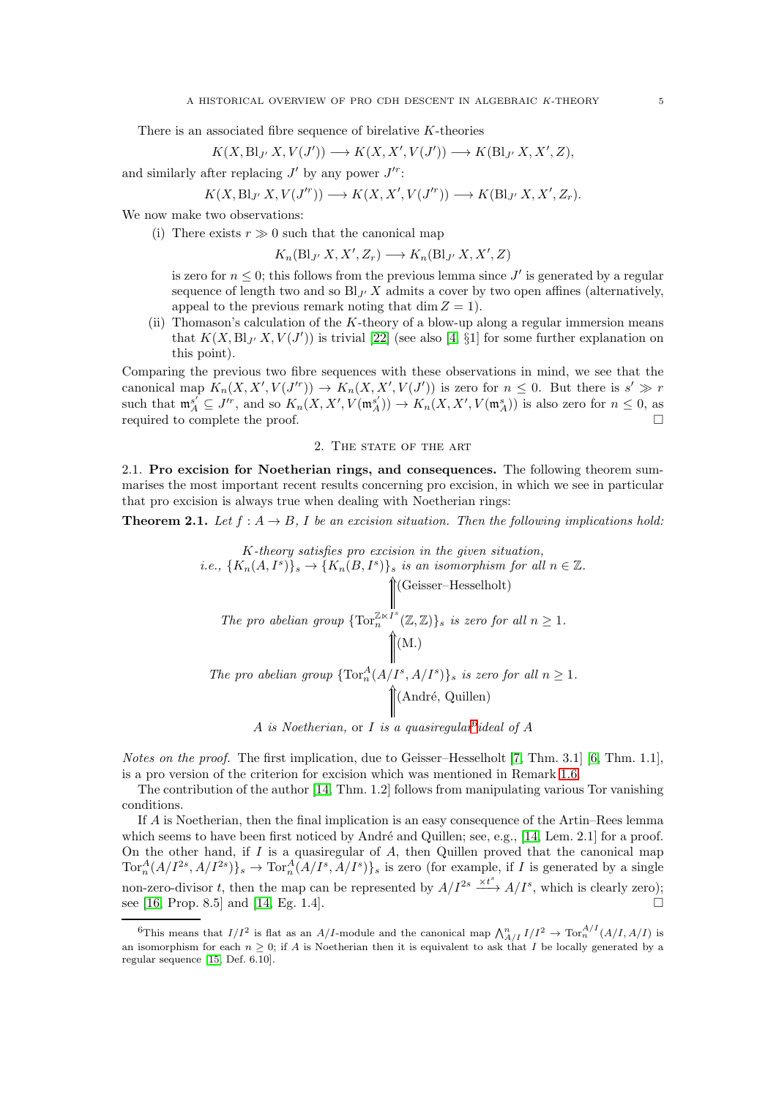There is an associated fibre sequence of birelative K-theories

$$
K(X, Bl_{J'} X, V(J')) \longrightarrow K(X, X', V(J')) \longrightarrow K(Bl_{J'} X, X', Z),
$$

and similarly after replacing  $J'$  by any power  $J'^{r}$ :

$$
K(X, Bl_{J'} X, V(J'^{r})) \longrightarrow K(X, X', V(J'^{r})) \longrightarrow K(Bl_{J'} X, X', Z_{r}).
$$

We now make two observations:

(i) There exists  $r \gg 0$  such that the canonical map

 $K_n(\text{Bl}_{J'} X, X', Z_r) \longrightarrow K_n(\text{Bl}_{J'} X, X', Z)$ 

is zero for  $n \leq 0$ ; this follows from the previous lemma since  $J'$  is generated by a regular sequence of length two and so  $Bl_{J'} X$  admits a cover by two open affines (alternatively, appeal to the previous remark noting that dim  $Z = 1$ .

(ii) Thomason's calculation of the K-theory of a blow-up along a regular immersion means that  $K(X, Bl_{J'}X, V(J'))$  is trivial [\[22\]](#page-10-4) (see also [\[4,](#page-9-7) §1] for some further explanation on this point).

Comparing the previous two fibre sequences with these observations in mind, we see that the canonical map  $K_n(X, X', V(J'')) \to K_n(X, X', V(J'))$  is zero for  $n \leq 0$ . But there is  $s' \gg r$ such that  $\mathfrak{m}_{A}^{s'} \subseteq J'^{r}$ , and so  $K_{n}(X, X', V(\mathfrak{m}_{A}^{s})) \to K_{n}(X, X', V(\mathfrak{m}_{A}^{s}))$  is also zero for  $n \leq 0$ , as required to complete the proof.  $\hfill\Box$ 

# 2. THE STATE OF THE ART

2.1. Pro excision for Noetherian rings, and consequences. The following theorem summarises the most important recent results concerning pro excision, in which we see in particular that pro excision is always true when dealing with Noetherian rings:

<span id="page-4-1"></span>**Theorem 2.1.** Let  $f : A \rightarrow B$ , I be an excision situation. Then the following implications hold:

K-theory satisfies pro excision in the given situation,  
\ni.e., 
$$
\{K_n(A, I^s)\}_s \to \{K_n(B, I^s)\}_s
$$
 is an isomorphism for all  $n \in \mathbb{Z}$ .  
\n
$$
\left\| \begin{array}{ll} (\text{Geisser-Hesselholt}) & \text{(Geisser-Hesselholt)} \\ \text{The pro abelian group } \{ \text{Tor}_n^{\mathbb{Z} \times I^s}(\mathbb{Z}, \mathbb{Z}) \}_s \text{ is zero for all } n \geq 1. \end{array} \right\}
$$
\n
$$
\left\| \begin{array}{ll} (\text{M.}) & \text{M.} \\ (\text{André, Quillen}) & \text{M.} \end{array} \right\|
$$

A is Noetherian, or I is a quasiregular ideal of A

Notes on the proof. The first implication, due to Geisser–Hesselholt [\[7,](#page-9-8) Thm. 3.1] [\[6,](#page-9-9) Thm. 1.1], is a pro version of the criterion for excision which was mentioned in Remark [1.6.](#page-2-1)

The contribution of the author [\[14,](#page-9-10) Thm. 1.2] follows from manipulating various Tor vanishing conditions.

If A is Noetherian, then the final implication is an easy consequence of the Artin–Rees lemma which seems to have been first noticed by André and Quillen; see, e.g.,  $[14, \text{ Lem. } 2.1]$  for a proof. On the other hand, if  $I$  is a quasiregular of  $A$ , then Quillen proved that the canonical map  $Tor_n^A(A/I^{2s}, A/I^{2s})\}_s \to Tor_n^A(A/I^s, A/I^s)\}_s$  is zero (for example, if I is generated by a single non-zero-divisor t, then the map can be represented by  $A/I^{2s} \xrightarrow{\times t^s} A/I^s$ , which is clearly zero); see [\[16,](#page-9-11) Prop. 8.5] and [\[14,](#page-9-10) Eg. 1.4].

<span id="page-4-0"></span><sup>&</sup>lt;sup>6</sup>This means that  $I/I^2$  is flat as an A/I-module and the canonical map  $\bigwedge_{A/I}^n I/I^2 \to \text{Tor}_n^{A/I}(A/I, A/I)$  is an isomorphism for each  $n \geq 0$ ; if A is Noetherian then it is equivalent to ask that I be locally generated by a regular sequence [\[15,](#page-9-12) Def. 6.10].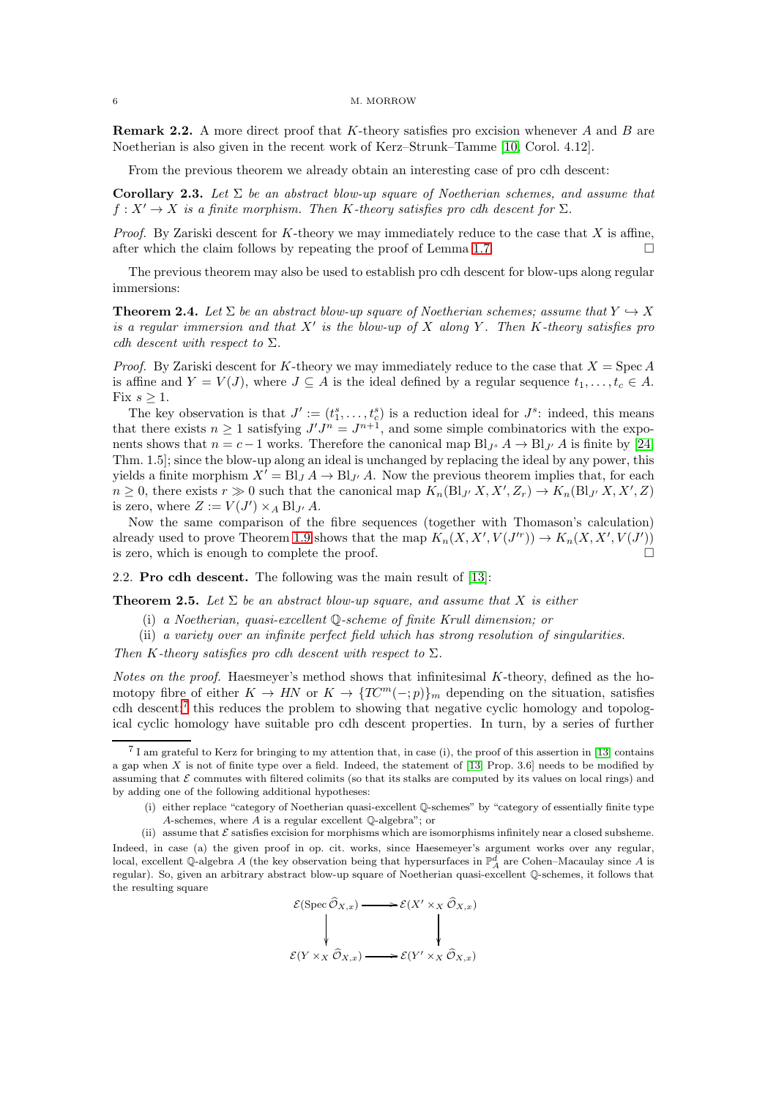Remark 2.2. A more direct proof that K-theory satisfies pro excision whenever A and B are Noetherian is also given in the recent work of Kerz–Strunk–Tamme [\[10,](#page-9-0) Corol. 4.12].

From the previous theorem we already obtain an interesting case of pro cdh descent:

Corollary 2.3. Let  $\Sigma$  be an abstract blow-up square of Noetherian schemes, and assume that  $f: X' \to X$  is a finite morphism. Then K-theory satisfies pro cdh descent for  $\Sigma$ .

*Proof.* By Zariski descent for K-theory we may immediately reduce to the case that  $X$  is affine, after which the claim follows by repeating the proof of Lemma [1.7.](#page-2-2)

The previous theorem may also be used to establish pro cdh descent for blow-ups along regular immersions:

**Theorem 2.4.** Let  $\Sigma$  be an abstract blow-up square of Noetherian schemes; assume that  $Y \hookrightarrow X$ is a regular immersion and that  $X'$  is the blow-up of  $X$  along  $Y$ . Then  $K$ -theory satisfies pro cdh descent with respect to  $\Sigma$ .

*Proof.* By Zariski descent for K-theory we may immediately reduce to the case that  $X = \text{Spec } A$ is affine and  $Y = V(J)$ , where  $J \subseteq A$  is the ideal defined by a regular sequence  $t_1, \ldots, t_c \in A$ . Fix  $s > 1$ .

The key observation is that  $J' := (t_1^s, \ldots, t_c^s)$  is a reduction ideal for  $J^s$ : indeed, this means that there exists  $n \geq 1$  satisfying  $J'J^n = J^{n+1}$ , and some simple combinatorics with the exponents shows that  $n = c - 1$  works. Therefore the canonical map  $Bl_{J^s} A \to Bl_{J'} A$  is finite by [\[24,](#page-10-3) Thm. 1.5]; since the blow-up along an ideal is unchanged by replacing the ideal by any power, this yields a finite morphism  $X' = Bl_J A \rightarrow Bl_{J'} A$ . Now the previous theorem implies that, for each  $n \geq 0$ , there exists  $r \gg 0$  such that the canonical map  $K_n(\text{Bl}_{J'} X, X', Z_r) \to K_n(\text{Bl}_{J'} X, X', Z)$ is zero, where  $Z := V(J') \times_A \text{Bl}_{J'} A$ .

Now the same comparison of the fibre sequences (together with Thomason's calculation) already used to prove Theorem [1.9](#page-3-0) shows that the map  $K_n(X, X', V(J'^r)) \to K_n(X, X', V(J'))$ is zero, which is enough to complete the proof.

2.2. Pro cdh descent. The following was the main result of [\[13\]](#page-9-13):

**Theorem 2.5.** Let  $\Sigma$  be an abstract blow-up square, and assume that X is either

- (i) a Noetherian, quasi-excellent Q-scheme of finite Krull dimension; or
- (ii) a variety over an infinite perfect field which has strong resolution of singularities.

Then K-theory satisfies pro cdh descent with respect to  $\Sigma$ .

Notes on the proof. Haesmeyer's method shows that infinitesimal  $K$ -theory, defined as the homotopy fibre of either  $K \to H\mathbb{N}$  or  $K \to \{TC^m(-;p)\}_m$  depending on the situation, satisfies cdh descent;<sup>[7](#page-5-0)</sup> this reduces the problem to showing that negative cyclic homology and topological cyclic homology have suitable pro cdh descent properties. In turn, by a series of further

(i) either replace "category of Noetherian quasi-excellent Q-schemes" by "category of essentially finite type A-schemes, where A is a regular excellent Q-algebra"; or

$$
\mathcal{E}(\operatorname{Spec} \widehat{\mathcal{O}}_{X,x}) \longrightarrow \mathcal{E}(X' \times_X \widehat{\mathcal{O}}_{X,x})
$$
\n
$$
\downarrow \qquad \qquad \downarrow
$$
\n
$$
\mathcal{E}(Y \times_X \widehat{\mathcal{O}}_{X,x}) \longrightarrow \mathcal{E}(Y' \times_X \widehat{\mathcal{O}}_{X,x})
$$

<span id="page-5-0"></span><sup>7</sup> I am grateful to Kerz for bringing to my attention that, in case (i), the proof of this assertion in [\[13\]](#page-9-13) contains a gap when X is not of finite type over a field. Indeed, the statement of [\[13,](#page-9-13) Prop. 3.6] needs to be modified by assuming that  $\mathcal E$  commutes with filtered colimits (so that its stalks are computed by its values on local rings) and by adding one of the following additional hypotheses:

<sup>(</sup>ii) assume that  $\mathcal E$  satisfies excision for morphisms which are isomorphisms infinitely near a closed subsheme. Indeed, in case (a) the given proof in op. cit. works, since Haesemeyer's argument works over any regular, local, excellent Q-algebra A (the key observation being that hypersurfaces in  $\mathbb{P}^d_A$  are Cohen–Macaulay since A is regular). So, given an arbitrary abstract blow-up square of Noetherian quasi-excellent Q-schemes, it follows that the resulting square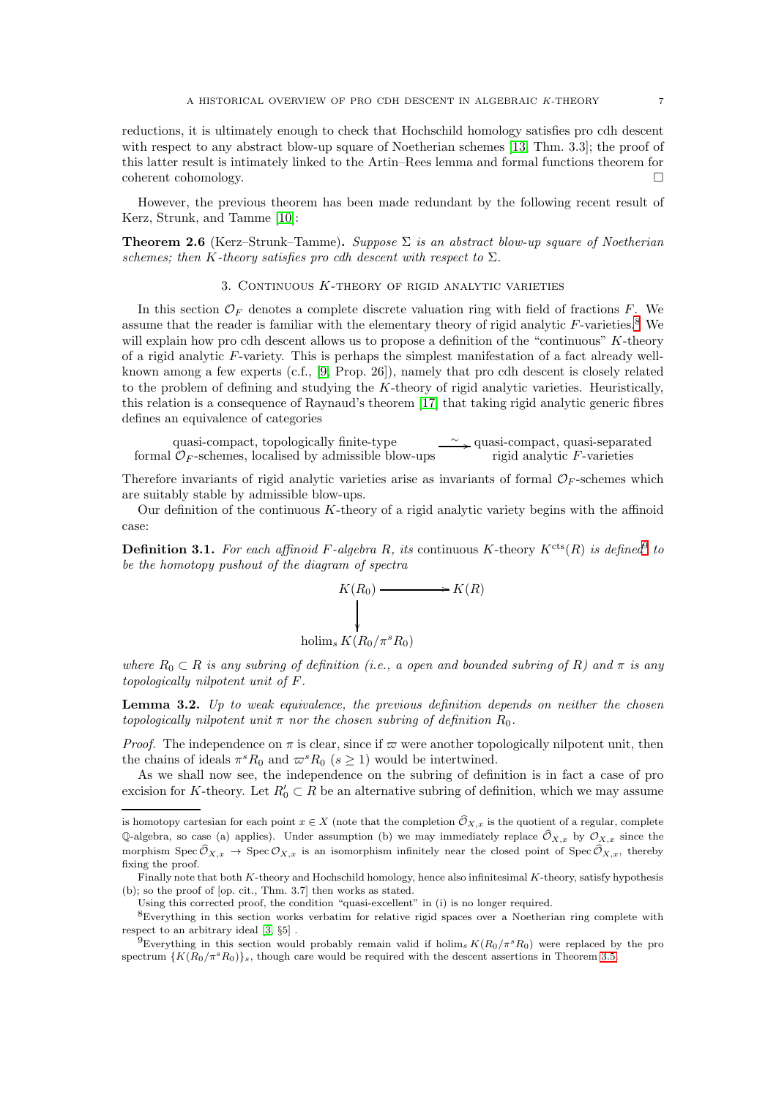reductions, it is ultimately enough to check that Hochschild homology satisfies pro cdh descent with respect to any abstract blow-up square of Noetherian schemes [\[13,](#page-9-13) Thm. 3.3]; the proof of this latter result is intimately linked to the Artin–Rees lemma and formal functions theorem for coherent cohomology.

However, the previous theorem has been made redundant by the following recent result of Kerz, Strunk, and Tamme [\[10\]](#page-9-0):

<span id="page-6-3"></span>**Theorem 2.6** (Kerz–Strunk–Tamme). Suppose  $\Sigma$  is an abstract blow-up square of Noetherian schemes; then K-theory satisfies pro cdh descent with respect to  $\Sigma$ .

### 3. CONTINUOUS  $K$ -THEORY OF RIGID ANALYTIC VARIETIES

In this section  $\mathcal{O}_F$  denotes a complete discrete valuation ring with field of fractions F. We assume that the reader is familiar with the elementary theory of rigid analytic  $F$ -varieties.<sup>[8](#page-6-0)</sup> We will explain how pro cdh descent allows us to propose a definition of the "continuous"  $K$ -theory of a rigid analytic F-variety. This is perhaps the simplest manifestation of a fact already wellknown among a few experts (c.f., [\[9,](#page-9-14) Prop. 26]), namely that pro cdh descent is closely related to the problem of defining and studying the K-theory of rigid analytic varieties. Heuristically, this relation is a consequence of Raynaud's theorem [\[17\]](#page-9-15) that taking rigid analytic generic fibres defines an equivalence of categories

quasi-compact, topologically finite-type formal  $\mathcal{O}_F$ -schemes, localised by admissible blow-ups  $\sim$  quasi-compact, quasi-separated rigid analytic F-varieties

Therefore invariants of rigid analytic varieties arise as invariants of formal  $\mathcal{O}_F$ -schemes which are suitably stable by admissible blow-ups.

Our definition of the continuous  $K$ -theory of a rigid analytic variety begins with the affinoid case:

<span id="page-6-2"></span>**Definition 3.1.** For each affinoid F-algebra R, its continuous K-theory  $K^{\text{cts}}(R)$  is defined<sup>[9](#page-6-1)</sup> to be the homotopy pushout of the diagram of spectra



where  $R_0 \subset R$  is any subring of definition (i.e., a open and bounded subring of R) and  $\pi$  is any topologically nilpotent unit of F.

**Lemma 3.2.** Up to weak equivalence, the previous definition depends on neither the chosen topologically nilpotent unit  $\pi$  nor the chosen subring of definition  $R_0$ .

*Proof.* The independence on  $\pi$  is clear, since if  $\varpi$  were another topologically nilpotent unit, then the chains of ideals  $\pi^s R_0$  and  $\varpi^s R_0$   $(s \ge 1)$  would be intertwined.

As we shall now see, the independence on the subring of definition is in fact a case of pro excision for K-theory. Let  $R'_0 \subset R$  be an alternative subring of definition, which we may assume

is homotopy cartesian for each point  $x \in X$  (note that the completion  $\hat{\mathcal{O}}_{X,x}$  is the quotient of a regular, complete Q-algebra, so case (a) applies). Under assumption (b) we may immediately replace  $\hat{\mathcal{O}}_{X,x}$  by  $\mathcal{O}_{X,x}$  since the morphism Spec  $\widehat{\mathcal{O}}_{X,x} \to \operatorname{Spec} \mathcal{O}_{X,x}$  is an isomorphism infinitely near the closed point of Spec  $\widehat{\mathcal{O}}_{X,x}$ , thereby fixing the proof.

Finally note that both K-theory and Hochschild homology, hence also infinitesimal K-theory, satisfy hypothesis (b); so the proof of [op. cit., Thm. 3.7] then works as stated.

Using this corrected proof, the condition "quasi-excellent" in (i) is no longer required.

<span id="page-6-0"></span><sup>8</sup>Everything in this section works verbatim for relative rigid spaces over a Noetherian ring complete with respect to an arbitrary ideal [\[3,](#page-9-16) §5] .

<span id="page-6-1"></span><sup>&</sup>lt;sup>9</sup>Everything in this section would probably remain valid if holim<sub>s</sub>  $K(R_0/\pi^sR_0)$  were replaced by the pro spectrum  ${K(R_0/\pi^sR_0)}_s$ , though care would be required with the descent assertions in Theorem [3.5.](#page-8-0)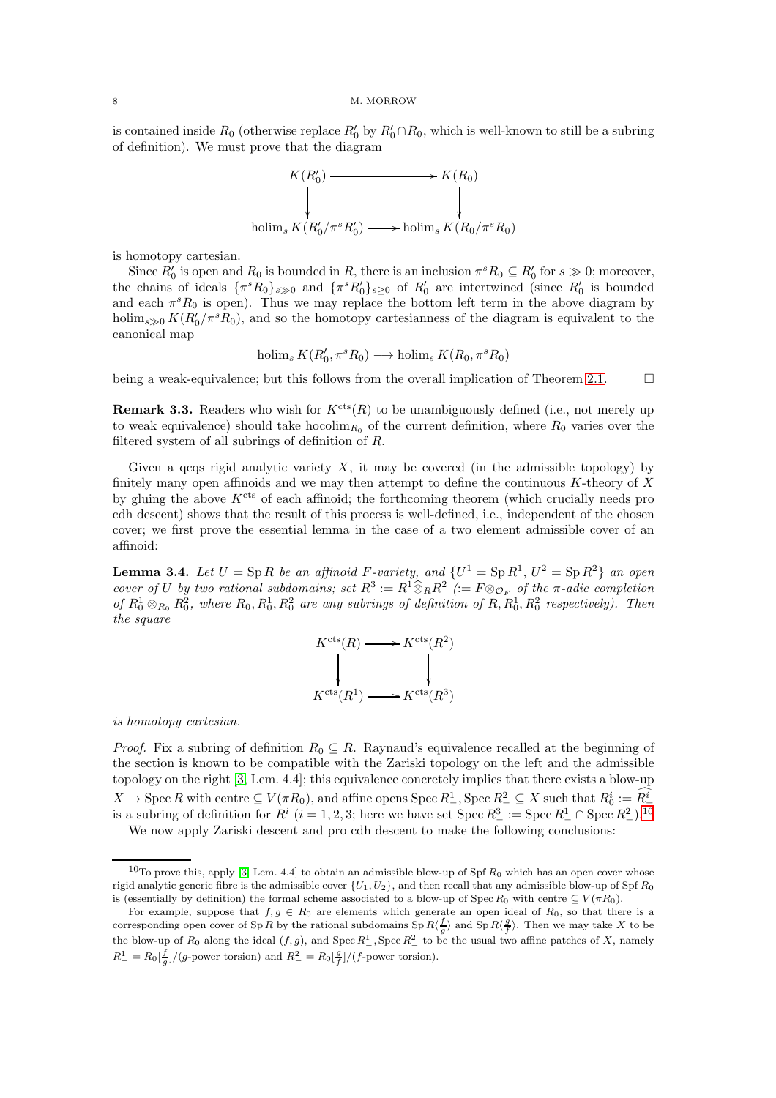is contained inside  $R_0$  (otherwise replace  $R'_0$  by  $R'_0 \cap R_0$ , which is well-known to still be a subring of definition). We must prove that the diagram



is homotopy cartesian.

Since  $R'_0$  is open and  $R_0$  is bounded in R, there is an inclusion  $\pi^s R_0 \subseteq R'_0$  for  $s \gg 0$ ; moreover, the chains of ideals  $\{\pi^s R_0\}_{s\geq 0}$  and  $\{\pi^s R_0'\}_{s\geq 0}$  of  $R_0'$  are intertwined (since  $R_0'$  is bounded and each  $\pi^s R_0$  is open). Thus we may replace the bottom left term in the above diagram by holim<sub>s</sub> $\gg 0$  K( $R'_0/\pi^sR_0$ ), and so the homotopy cartesianness of the diagram is equivalent to the canonical map

holim<sub>s</sub>  $K(R'_0, \pi^s R_0) \longrightarrow$  holim<sub>s</sub>  $K(R_0, \pi^s R_0)$ 

being a weak-equivalence; but this follows from the overall implication of Theorem [2.1.](#page-4-1)  $\Box$ 

**Remark 3.3.** Readers who wish for  $K^{\text{cts}}(R)$  to be unambiguously defined (i.e., not merely up to weak equivalence) should take hocolim<sub>R<sub>0</sub></sub> of the current definition, where  $R_0$  varies over the filtered system of all subrings of definition of R.

Given a qcqs rigid analytic variety  $X$ , it may be covered (in the admissible topology) by finitely many open affinoids and we may then attempt to define the continuous  $K$ -theory of  $X$ by gluing the above  $K^{\text{cts}}$  of each affinoid; the forthcoming theorem (which crucially needs pro cdh descent) shows that the result of this process is well-defined, i.e., independent of the chosen cover; we first prove the essential lemma in the case of a two element admissible cover of an affinoid:

<span id="page-7-1"></span>**Lemma 3.4.** Let  $U = \text{Sp } R$  be an affinoid F-variety, and  $\{U^1 = \text{Sp } R^1, U^2 = \text{Sp } R^2\}$  an open cover of U by two rational subdomains; set  $R^3 := R^1 \widehat{\otimes}_R R^2$  (:=  $F \otimes_{\mathcal{O}_F}$  of the  $\pi$ -adic completion of  $R_0^1 \otimes_{R_0} R_0^2$ , where  $R_0, R_0^1, R_0^2$  are any subrings of definition of  $R, R_0^1, R_0^2$  respectively). Then the square

$$
K^{\text{cts}}(R) \longrightarrow K^{\text{cts}}(R^2)
$$
  
\n
$$
\downarrow \qquad \qquad \downarrow
$$
  
\n
$$
K^{\text{cts}}(R^1) \longrightarrow K^{\text{cts}}(R^3)
$$

is homotopy cartesian.

*Proof.* Fix a subring of definition  $R_0 \subseteq R$ . Raynaud's equivalence recalled at the beginning of the section is known to be compatible with the Zariski topology on the left and the admissible topology on the right [\[3,](#page-9-16) Lem. 4.4]; this equivalence concretely implies that there exists a blow-up  $X \to \text{Spec } R$  with centre  $\subseteq V(\pi R_0)$ , and affine opens  $\text{Spec } R^1_-, \text{Spec } R^2_- \subseteq X$  such that  $R_0^i := R^i_$ is a subring of definition for  $R^i$  ( $i = 1, 2, 3$ ; here we have set  $Spec R^3_- := Spec R^1_- \cap Spec R^2_-$ ).<sup>[10](#page-7-0)</sup>

We now apply Zariski descent and pro cdh descent to make the following conclusions:

<span id="page-7-0"></span><sup>&</sup>lt;sup>10</sup>To prove this, apply [\[3,](#page-9-16) Lem. 4.4] to obtain an admissible blow-up of Spf  $R_0$  which has an open cover whose rigid analytic generic fibre is the admissible cover  $\{U_1, U_2\}$ , and then recall that any admissible blow-up of Spf  $R_0$ is (essentially by definition) the formal scheme associated to a blow-up of Spec  $R_0$  with centre  $\subseteq V(\pi R_0)$ .

For example, suppose that  $f, g \in R_0$  are elements which generate an open ideal of  $R_0$ , so that there is a corresponding open cover of Sp R by the rational subdomains  $\text{Sp } R\langle \frac{f}{g} \rangle$  and  $\text{Sp } R\langle \frac{g}{f} \rangle$ . Then we may take X to be the blow-up of  $R_0$  along the ideal  $(f, g)$ , and  $Spec R^1$ ,  $Spec R^2$  to be the usual two affine patches of X, namely  $R_{-}^{1} = R_{0}[\frac{f}{g}]/(g\text{-power torsion})$  and  $R_{-}^{2} = R_{0}[\frac{g}{f}]/(f\text{-power torsion})$ .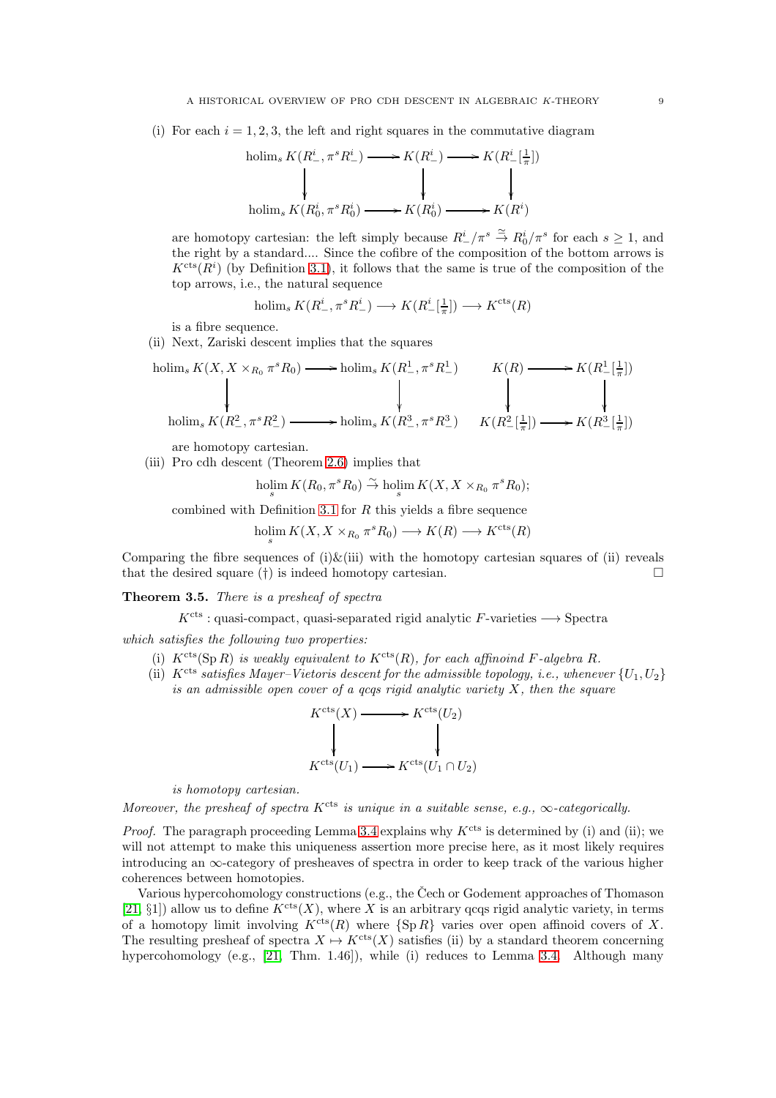(i) For each  $i = 1, 2, 3$ , the left and right squares in the commutative diagram

$$
\text{holim}_s K(R^i_-, \pi^s R^i_-) \longrightarrow K(R^i_-) \longrightarrow K(R^i_-[\frac{1}{\pi}])
$$
\n
$$
\downarrow \qquad \qquad \downarrow \qquad \qquad \downarrow
$$
\n
$$
\text{holim}_s K(R^i_0, \pi^s R^i_0) \longrightarrow K(R^i_0) \longrightarrow K(R^i)
$$

are homotopy cartesian: the left simply because  $R^i$ / $\pi^s$   $\stackrel{\sim}{\to}$   $R^i_0/\pi^s$  for each  $s \geq 1$ , and the right by a standard.... Since the cofibre of the composition of the bottom arrows is  $K^{\text{cts}}(R^i)$  (by Definition [3.1\)](#page-6-2), it follows that the same is true of the composition of the top arrows, i.e., the natural sequence

$$
\operatorname{holim}_{s} K(R^{i}_{-}, \pi^{s} R^{i}_{-}) \longrightarrow K(R^{i}_{-}[\frac{1}{\pi}]) \longrightarrow K^{\operatorname{cts}}(R)
$$

is a fibre sequence.

(ii) Next, Zariski descent implies that the squares

$$
\text{holim}_s K(X, X \times_{R_0} \pi^s R_0) \longrightarrow \text{holim}_s K(R^1_-, \pi^s R^1_-) \qquad K(R) \longrightarrow K(R^1_-\left[\frac{1}{\pi}\right])
$$
\n
$$
\downarrow \qquad \qquad \downarrow \qquad \qquad \downarrow \qquad \qquad \downarrow
$$
\n
$$
\text{holim}_s K(R^2_-, \pi^s R^2_-) \longrightarrow \text{holim}_s K(R^3_-, \pi^s R^3_-) \qquad K(R^2_-\left[\frac{1}{\pi}\right]) \longrightarrow K(R^3_-\left[\frac{1}{\pi}\right])
$$

are homotopy cartesian.

(iii) Pro cdh descent (Theorem [2.6\)](#page-6-3) implies that

holim  $K(R_0, \pi^s R_0) \stackrel{\sim}{\rightarrow} \text{holim } K(X, X \times_{R_0} \pi^s R_0);$ 

combined with Definition [3.1](#page-6-2) for  $R$  this yields a fibre sequence

$$
\underset{s}{\text{holim}}\, K(X, X \times_{R_0} \pi^s R_0) \longrightarrow K(R) \longrightarrow K^{\text{cts}}(R)
$$

Comparing the fibre sequences of (i) $\&$ (iii) with the homotopy cartesian squares of (ii) reveals that the desired square  $(\dagger)$  is indeed homotopy cartesian.

<span id="page-8-0"></span>Theorem 3.5. There is a presheaf of spectra

 $K^{\text{cts}}$ : quasi-compact, quasi-separated rigid analytic F-varieties  $\longrightarrow$  Spectra

which satisfies the following two properties:

- (i)  $K<sup>cts</sup>(Sp R)$  is weakly equivalent to  $K<sup>cts</sup>(R)$ , for each affinoind F-algebra R.
- (ii) K<sup>cts</sup> satisfies Mayer–Vietoris descent for the admissible topology, i.e., whenever  $\{U_1, U_2\}$ is an admissible open cover of a qcqs rigid analytic variety  $X$ , then the square

$$
K^{\mathrm{cts}}(X) \longrightarrow K^{\mathrm{cts}}(U_2)
$$
  
\n
$$
\downarrow \qquad \qquad \downarrow
$$
  
\n
$$
K^{\mathrm{cts}}(U_1) \longrightarrow K^{\mathrm{cts}}(U_1 \cap U_2)
$$

is homotopy cartesian.

Moreover, the presheaf of spectra  $K^{\text{cts}}$  is unique in a suitable sense, e.g.,  $\infty$ -categorically.

*Proof.* The paragraph proceeding Lemma [3.4](#page-7-1) explains why  $K^{\text{cts}}$  is determined by (i) and (ii); we will not attempt to make this uniqueness assertion more precise here, as it most likely requires introducing an ∞-category of presheaves of spectra in order to keep track of the various higher coherences between homotopies.

Various hypercohomology constructions (e.g., the Čech or Godement approaches of Thomason [\[21,](#page-10-5) §1]) allow us to define  $K<sup>cts</sup>(X)$ , where X is an arbitrary gcqs rigid analytic variety, in terms of a homotopy limit involving  $K^{\text{cts}}(R)$  where  $\{ \text{Sp } R \}$  varies over open affinoid covers of X. The resulting presheaf of spectra  $X \mapsto K^{\text{cts}}(X)$  satisfies (ii) by a standard theorem concerning hypercohomology (e.g., [\[21,](#page-10-5) Thm. 1.46]), while (i) reduces to Lemma [3.4.](#page-7-1) Although many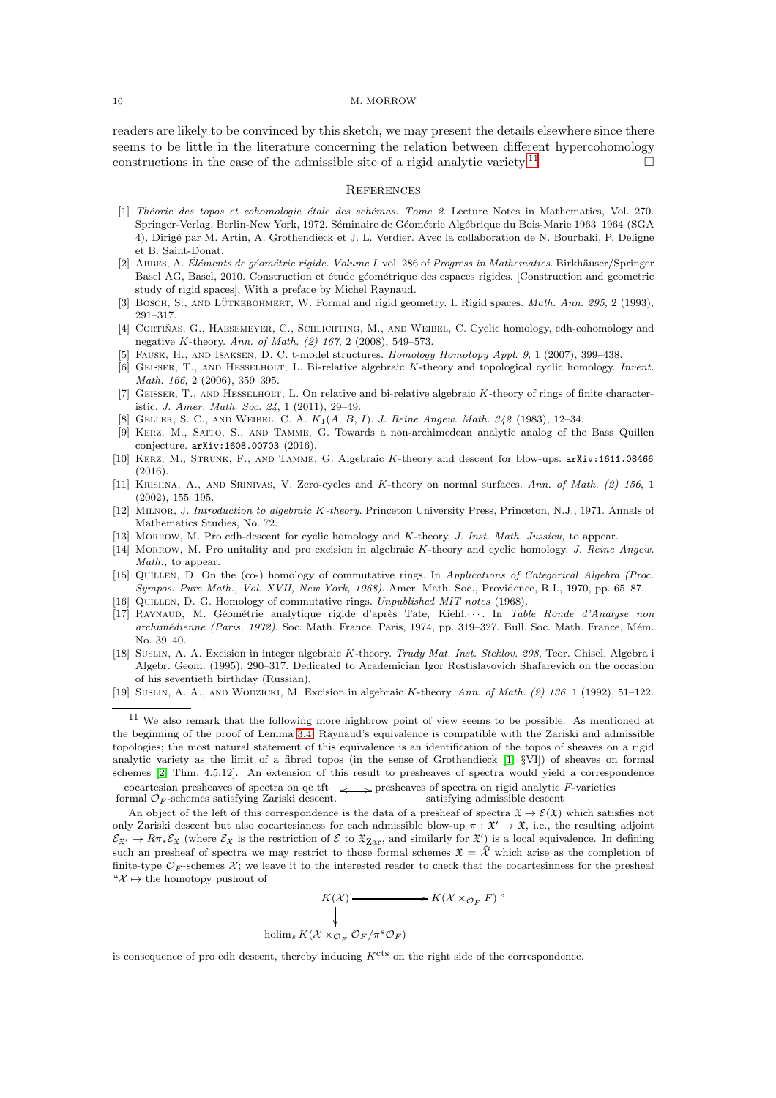readers are likely to be convinced by this sketch, we may present the details elsewhere since there seems to be little in the literature concerning the relation between different hypercohomology constructions in the case of the admissible site of a rigid analytic variety.<sup>[11](#page-9-17)</sup>

### **REFERENCES**

- <span id="page-9-18"></span>[1] Théorie des topos et cohomologie étale des schémas. Tome 2. Lecture Notes in Mathematics, Vol. 270. Springer-Verlag, Berlin-New York, 1972. Séminaire de Géométrie Algébrique du Bois-Marie 1963–1964 (SGA 4), Dirig´e par M. Artin, A. Grothendieck et J. L. Verdier. Avec la collaboration de N. Bourbaki, P. Deligne et B. Saint-Donat.
- <span id="page-9-19"></span>[2] ABBES, A. Éléments de géométrie rigide. Volume I, vol. 286 of Progress in Mathematics. Birkhäuser/Springer Basel AG, Basel, 2010. Construction et étude géométrique des espaces rigides. [Construction and geometric study of rigid spaces], With a preface by Michel Raynaud.
- <span id="page-9-16"></span><span id="page-9-7"></span>[3] BOSCH, S., AND LÜTKEBOHMERT, W. Formal and rigid geometry. I. Rigid spaces. Math. Ann. 295, 2 (1993), 291–317.
- [4] CORTIÑAS, G., HAESEMEYER, C., SCHLICHTING, M., AND WEIBEL, C. Cyclic homology, cdh-cohomology and negative K-theory. Ann. of Math. (2) 167, 2 (2008), 549–573.
- <span id="page-9-9"></span><span id="page-9-1"></span>[5] FAUSK, H., AND ISAKSEN, D. C. t-model structures. Homology Homotopy Appl. 9, 1 (2007), 399-438.
- [6] Geisser, T., and Hesselholt, L. Bi-relative algebraic K-theory and topological cyclic homology. Invent. Math. 166, 2 (2006), 359–395.
- <span id="page-9-8"></span>[7] Geisser, T., and Hesselholt, L. On relative and bi-relative algebraic K-theory of rings of finite characteristic. J. Amer. Math. Soc. 24, 1 (2011), 29–49.
- <span id="page-9-14"></span><span id="page-9-3"></span>[8] GELLER, S. C., AND WEIBEL, C. A.  $K_1(A, B, I)$ . J. Reine Angew. Math. 342 (1983), 12-34.
- [9] Kerz, M., Saito, S., and Tamme, G. Towards a non-archimedean analytic analog of the Bass–Quillen conjecture. arXiv:1608.00703 (2016).
- <span id="page-9-0"></span>[10] Kerz, M., Strunk, F., and Tamme, G. Algebraic K-theory and descent for blow-ups. arXiv:1611.08466 (2016).
- <span id="page-9-6"></span>[11] Krishna, A., and Srinivas, V. Zero-cycles and K-theory on normal surfaces. Ann. of Math. (2) 156, 1 (2002), 155–195.
- <span id="page-9-2"></span>[12] Milnor, J. Introduction to algebraic K-theory. Princeton University Press, Princeton, N.J., 1971. Annals of Mathematics Studies, No. 72.
- <span id="page-9-13"></span><span id="page-9-10"></span>[13] MORROW, M. Pro cdh-descent for cyclic homology and K-theory. J. Inst. Math. Jussieu, to appear.
- [14] MORROW, M. Pro unitality and pro excision in algebraic K-theory and cyclic homology. J. Reine Angew. Math., to appear.
- <span id="page-9-12"></span>[15] QUILLEN, D. On the (co-) homology of commutative rings. In Applications of Categorical Algebra (Proc. Sympos. Pure Math., Vol. XVII, New York, 1968). Amer. Math. Soc., Providence, R.I., 1970, pp. 65–87.
- <span id="page-9-15"></span><span id="page-9-11"></span>[16] QUILLEN, D. G. Homology of commutative rings. Unpublished MIT notes (1968).
- [17] RAYNAUD, M. Géométrie analytique rigide d'après Tate, Kiehl, · · . In Table Ronde d'Analyse non archimédienne (Paris, 1972). Soc. Math. France, Paris, 1974, pp. 319–327. Bull. Soc. Math. France, Mém. No. 39–40.
- <span id="page-9-4"></span>[18] Suslin, A. A. Excision in integer algebraic K-theory. Trudy Mat. Inst. Steklov. 208, Teor. Chisel, Algebra i Algebr. Geom. (1995), 290–317. Dedicated to Academician Igor Rostislavovich Shafarevich on the occasion of his seventieth birthday (Russian).

formal  $\mathcal{O}_F$ -schemes satisfying Zariski descent. satisfying admissible descent

$$
K(\mathcal{X}) \longrightarrow K(\mathcal{X} \times_{\mathcal{O}_F} F) \circ
$$
  
\$\downarrow\$  

$$
K(\mathcal{X} \times_{\mathcal{O}_F} \mathcal{O}_F/\pi^s \mathcal{O}_F)
$$

is consequence of pro cdh descent, thereby inducing  $K<sup>cts</sup>$  on the right side of the correspondence.

holim.

<span id="page-9-5"></span><sup>[19]</sup> Suslin, A. A., and Wodzicki, M. Excision in algebraic K-theory. Ann. of Math. (2) 136, 1 (1992), 51–122.

<span id="page-9-17"></span><sup>11</sup> We also remark that the following more highbrow point of view seems to be possible. As mentioned at the beginning of the proof of Lemma [3.4,](#page-7-1) Raynaud's equivalence is compatible with the Zariski and admissible topologies; the most natural statement of this equivalence is an identification of the topos of sheaves on a rigid analytic variety as the limit of a fibred topos (in the sense of Grothendieck [\[1,](#page-9-18) §VI]) of sheaves on formal schemes [\[2,](#page-9-19) Thm. 4.5.12]. An extension of this result to presheaves of spectra would yield a correspondence cocartesian presheaves of spectra on qc tft  $\rightarrow$  presheaves of spectra on rigid analytic F-varieties

An object of the left of this correspondence is the data of a presheaf of spectra  $\mathfrak{X} \mapsto \mathcal{E}(\mathfrak{X})$  which satisfies not only Zariski descent but also cocartesianess for each admissible blow-up  $\pi : \mathfrak{X}' \to \mathfrak{X}$ , i.e., the resulting adjoint  $\mathcal{E}_{\mathfrak{X}'} \to R\pi_* \mathcal{E}_{\mathfrak{X}}$  (where  $\mathcal{E}_{\mathfrak{X}}$  is the restriction of  $\mathcal{E}$  to  $\mathfrak{X}_{\mathrm{Zar}}$ , and similarly for  $\mathfrak{X}'$ ) is a local equivalence. In defining such an presheaf of spectra we may restrict to those formal schemes  $\mathfrak{X} = \hat{\mathcal{X}}$  which arise as the completion of finite-type  $\mathcal{O}_F$ -schemes X; we leave it to the interested reader to check that the cocartesinness for the presheaf " $X \mapsto$  the homotopy pushout of